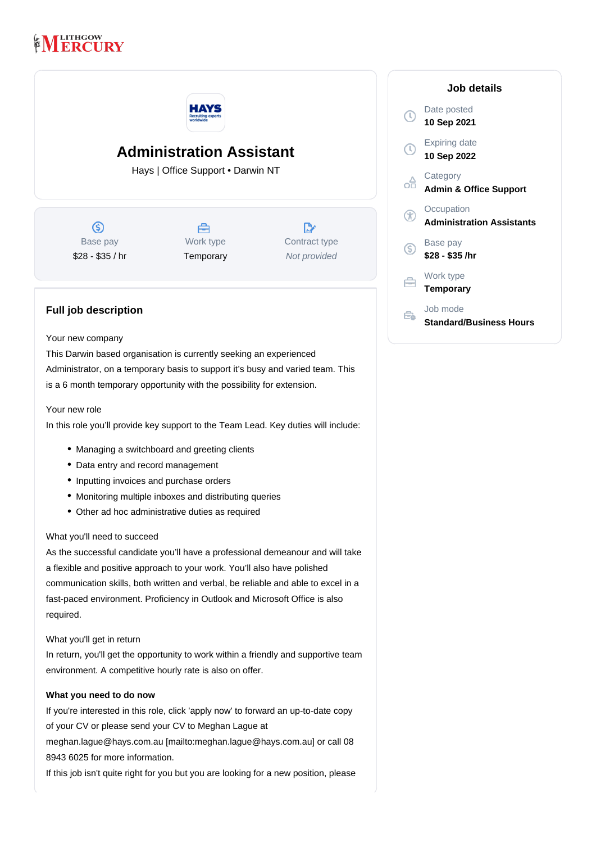## **LITHGOW RCURY**



# **Administration Assistant**

Hays | Office Support • Darwin NT

 $\circledS$ Base pay \$28 - \$35 / hr



Work type **Temporary** 

 $\mathbb{R}^n$ Contract type Not provided

### **Full job description**

#### Your new company

This Darwin based organisation is currently seeking an experienced Administrator, on a temporary basis to support it's busy and varied team. This is a 6 month temporary opportunity with the possibility for extension.

#### Your new role

In this role you'll provide key support to the Team Lead. Key duties will include:

- Managing a switchboard and greeting clients
- Data entry and record management
- Inputting invoices and purchase orders
- Monitoring multiple inboxes and distributing queries
- Other ad hoc administrative duties as required

#### What you'll need to succeed

As the successful candidate you'll have a professional demeanour and will take a flexible and positive approach to your work. You'll also have polished communication skills, both written and verbal, be reliable and able to excel in a fast-paced environment. Proficiency in Outlook and Microsoft Office is also required.

#### What you'll get in return

In return, you'll get the opportunity to work within a friendly and supportive team environment. A competitive hourly rate is also on offer.

#### **What you need to do now**

If you're interested in this role, click 'apply now' to forward an up-to-date copy of your CV or please send your CV to Meghan Lague at meghan.lague@hays.com.au [mailto:meghan.lague@hays.com.au] or call 08 8943 6025 for more information.

If this job isn't quite right for you but you are looking for a new position, please

|             | Job details                                    |
|-------------|------------------------------------------------|
| $\tau$      | Date posted<br>10 Sep 2021                     |
| $\mathbb C$ | Expiring date<br>10 Sep 2022                   |
|             | Category<br><b>Admin &amp; Office Support</b>  |
| (T          | Occupation<br><b>Administration Assistants</b> |
| G           | Base pay<br>\$28 - \$35 /hr                    |
|             | Work type<br>Temporary                         |
|             | Job mode<br><b>Standard/Business Hours</b>     |